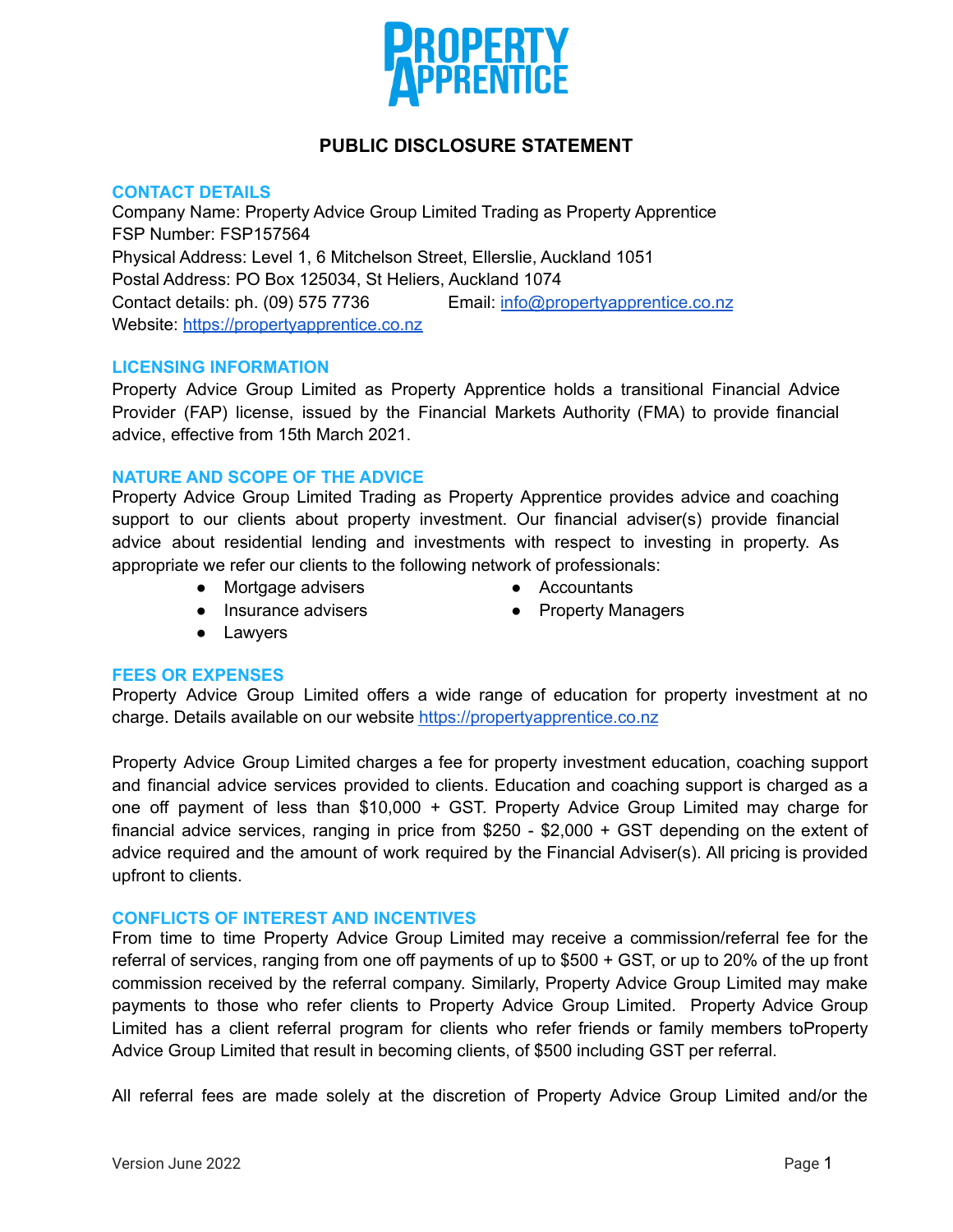

# **PUBLIC DISCLOSURE STATEMENT**

#### **CONTACT DETAILS**

Company Name: Property Advice Group Limited Trading as Property Apprentice FSP Number: FSP157564 Physical Address: Level 1, 6 Mitchelson Street, Ellerslie, Auckland 1051 Postal Address: PO Box 125034, St Heliers, Auckland 1074 Contact details: ph. (09) 575 7736 Email: [info@propertyapprentice.co.nz](mailto:info@propertyapprentice.co.nz) Website: <https://propertyapprentice.co.nz>

# **LICENSING INFORMATION**

Property Advice Group Limited as Property Apprentice holds a transitional Financial Advice Provider (FAP) license, issued by the Financial Markets Authority (FMA) to provide financial advice, effective from 15th March 2021.

# **NATURE AND SCOPE OF THE ADVICE**

Property Advice Group Limited Trading as Property Apprentice provides advice and coaching support to our clients about property investment. Our financial adviser(s) provide financial advice about residential lending and investments with respect to investing in property. As appropriate we refer our clients to the following network of professionals:

● Mortgage advisers

- Accountants
- Insurance advisers
- Property Managers

● Lawyers

#### **FEES OR EXPENSES**

Property Advice Group Limited offers a wide range of education for property investment at no charge. Details available on our website <https://propertyapprentice.co.nz>

Property Advice Group Limited charges a fee for property investment education, coaching support and financial advice services provided to clients. Education and coaching support is charged as a one off payment of less than \$10,000 + GST. Property Advice Group Limited may charge for financial advice services, ranging in price from \$250 - \$2,000 + GST depending on the extent of advice required and the amount of work required by the Financial Adviser(s). All pricing is provided upfront to clients.

#### **CONFLICTS OF INTEREST AND INCENTIVES**

From time to time Property Advice Group Limited may receive a commission/referral fee for the referral of services, ranging from one off payments of up to \$500 + GST, or up to 20% of the up front commission received by the referral company. Similarly, Property Advice Group Limited may make payments to those who refer clients to Property Advice Group Limited. Property Advice Group Limited has a client referral program for clients who refer friends or family members toProperty Advice Group Limited that result in becoming clients, of \$500 including GST per referral.

All referral fees are made solely at the discretion of Property Advice Group Limited and/or the